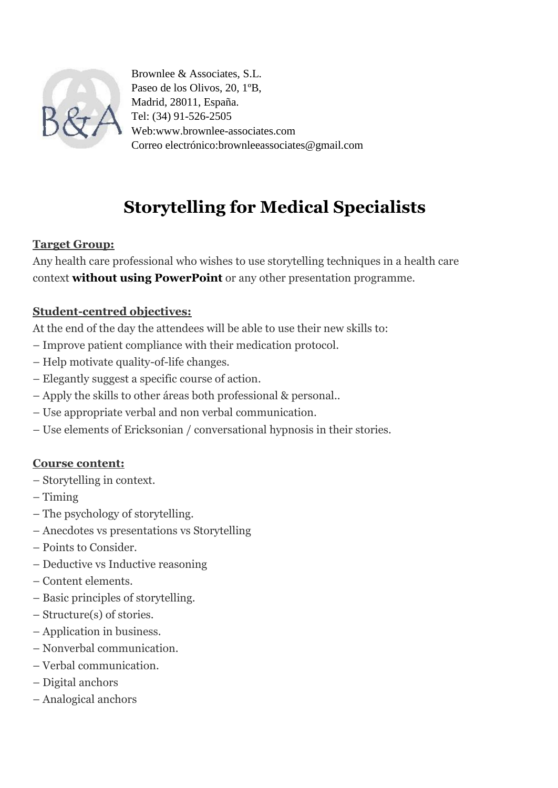

Brownlee & Associates, S.L. Paseo de los Olivos, 20, 1ºB, Madrid, 28011, España. Tel: (34) 91-526-2505 Web:www.brownlee-associates.com Correo electrónico:brownleeassociates@gmail.com

# **Storytelling for Medical Specialists**

### **Target Group:**

Any health care professional who wishes to use storytelling techniques in a health care context **without using PowerPoint** or any other presentation programme.

## **Student-centred objectives:**

At the end of the day the attendees will be able to use their new skills to:

- Improve patient compliance with their medication protocol.
- Help motivate quality-of-life changes.
- Elegantly suggest a specific course of action.
- Apply the skills to other áreas both professional & personal..
- Use appropriate verbal and non verbal communication.
- Use elements of Ericksonian / conversational hypnosis in their stories.

## **Course content:**

- Storytelling in context.
- Timing
- The psychology of storytelling.
- Anecdotes vs presentations vs Storytelling
- Points to Consider.
- Deductive vs Inductive reasoning
- Content elements.
- Basic principles of storytelling.
- Structure(s) of stories.
- Application in business.
- Nonverbal communication.
- Verbal communication.
- Digital anchors
- Analogical anchors